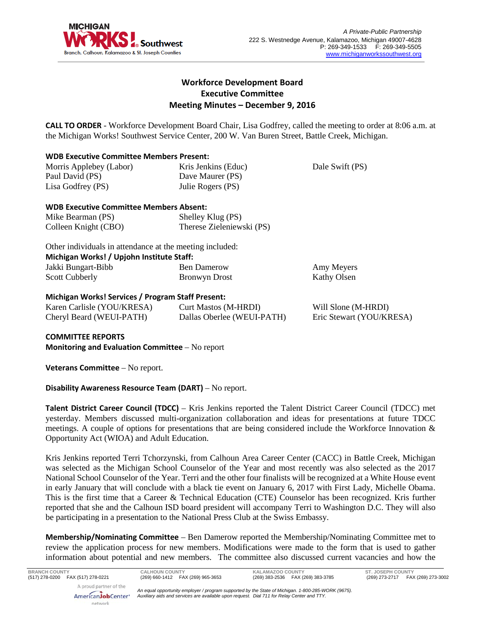

# **Workforce Development Board Executive Committee Meeting Minutes – December 9, 2016**

**CALL TO ORDER** - Workforce Development Board Chair, Lisa Godfrey, called the meeting to order at 8:06 a.m. at the Michigan Works! Southwest Service Center, 200 W. Van Buren Street, Battle Creek, Michigan.

# **WDB Executive Committee Members Present:**

| Morris Applebey (Labor) | Kris Jenkins (Educ) | Dale Swift (PS) |
|-------------------------|---------------------|-----------------|
| Paul David (PS)         | Dave Maurer (PS)    |                 |
| Lisa Godfrey (PS)       | Julie Rogers (PS)   |                 |

# **WDB Executive Committee Members Absent:**

| Mike Bearman (PS)    | Shelley Klug (PS)         |
|----------------------|---------------------------|
| Colleen Knight (CBO) | Therese Zieleniewski (PS) |

Other individuals in attendance at the meeting included: **Michigan Works! / Upjohn Institute Staff:**

| Jakki Bungart-Bibb    | <b>Ben Damerow</b>   | Amy Meyers  |  |
|-----------------------|----------------------|-------------|--|
| <b>Scott Cubberly</b> | <b>Bronwyn Drost</b> | Kathy Olsen |  |

# **Michigan Works! Services / Program Staff Present:**

Karen Carlisle (YOU/KRESA) Cheryl Beard (WEUI-PATH)

Curt Mastos (M-HRDI) Dallas Oberlee (WEUI-PATH)

Will Slone (M-HRDI) Eric Stewart (YOU/KRESA)

**COMMITTEE REPORTS**

**Monitoring and Evaluation Committee** – No report

**Veterans Committee** – No report.

network

**Disability Awareness Resource Team (DART)** – No report.

**Talent District Career Council (TDCC)** – Kris Jenkins reported the Talent District Career Council (TDCC) met yesterday. Members discussed multi-organization collaboration and ideas for presentations at future TDCC meetings. A couple of options for presentations that are being considered include the Workforce Innovation & Opportunity Act (WIOA) and Adult Education.

Kris Jenkins reported Terri Tchorzynski, from Calhoun Area Career Center (CACC) in Battle Creek, Michigan was selected as the Michigan School Counselor of the Year and most recently was also selected as the 2017 National School Counselor of the Year. Terri and the other four finalists will be recognized at a White House event in early January that will conclude with a black tie event on January 6, 2017 with First Lady, Michelle Obama. This is the first time that a Career & Technical Education (CTE) Counselor has been recognized. Kris further reported that she and the Calhoun ISD board president will accompany Terri to Washington D.C. They will also be participating in a presentation to the National Press Club at the Swiss Embassy.

**Membership/Nominating Committee** – Ben Damerow reported the Membership/Nominating Committee met to review the application process for new members. Modifications were made to the form that is used to gather information about potential and new members. The committee also discussed current vacancies and how the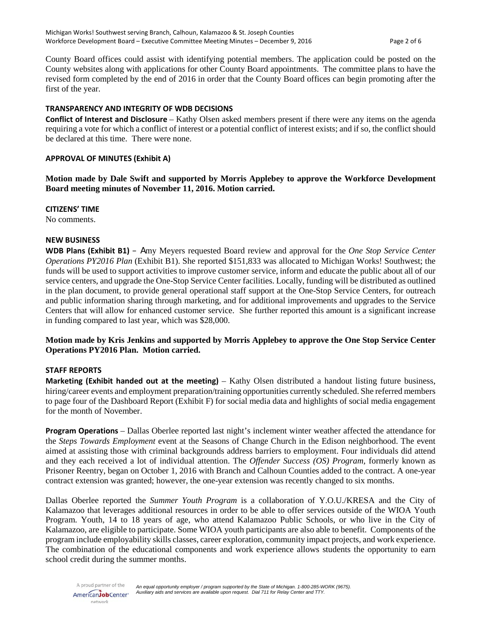County Board offices could assist with identifying potential members. The application could be posted on the County websites along with applications for other County Board appointments. The committee plans to have the revised form completed by the end of 2016 in order that the County Board offices can begin promoting after the first of the year.

# **TRANSPARENCY AND INTEGRITY OF WDB DECISIONS**

**Conflict of Interest and Disclosure** – Kathy Olsen asked members present if there were any items on the agenda requiring a vote for which a conflict of interest or a potential conflict of interest exists; and if so, the conflict should be declared at this time. There were none.

### **APPROVAL OF MINUTES (Exhibit A)**

**Motion made by Dale Swift and supported by Morris Applebey to approve the Workforce Development Board meeting minutes of November 11, 2016. Motion carried.**

### **CITIZENS' TIME**

No comments.

## **NEW BUSINESS**

**WDB Plans (Exhibit B1)** – Amy Meyers requested Board review and approval for the *One Stop Service Center Operations PY2016 Plan* (Exhibit B1). She reported \$151,833 was allocated to Michigan Works! Southwest; the funds will be used to support activities to improve customer service, inform and educate the public about all of our service centers, and upgrade the One-Stop Service Center facilities. Locally, funding will be distributed as outlined in the plan document, to provide general operational staff support at the One-Stop Service Centers, for outreach and public information sharing through marketing, and for additional improvements and upgrades to the Service Centers that will allow for enhanced customer service. She further reported this amount is a significant increase in funding compared to last year, which was \$28,000.

# **Motion made by Kris Jenkins and supported by Morris Applebey to approve the One Stop Service Center Operations PY2016 Plan. Motion carried.**

# **STAFF REPORTS**

**Marketing (Exhibit handed out at the meeting)** – Kathy Olsen distributed a handout listing future business, hiring/career events and employment preparation/training opportunities currently scheduled. She referred members to page four of the Dashboard Report (Exhibit F) for social media data and highlights of social media engagement for the month of November.

**Program Operations** – Dallas Oberlee reported last night's inclement winter weather affected the attendance for the *Steps Towards Employment* event at the Seasons of Change Church in the Edison neighborhood. The event aimed at assisting those with criminal backgrounds address barriers to employment. Four individuals did attend and they each received a lot of individual attention. The *Offender Success (OS) Program,* formerly known as Prisoner Reentry, began on October 1, 2016 with Branch and Calhoun Counties added to the contract. A one-year contract extension was granted; however, the one-year extension was recently changed to six months.

Dallas Oberlee reported the *Summer Youth Program* is a collaboration of Y.O.U./KRESA and the City of Kalamazoo that leverages additional resources in order to be able to offer services outside of the WIOA Youth Program. Youth, 14 to 18 years of age, who attend Kalamazoo Public Schools, or who live in the City of Kalamazoo, are eligible to participate. Some WIOA youth participants are also able to benefit. Components of the program include employability skills classes, career exploration, community impact projects, and work experience. The combination of the educational components and work experience allows students the opportunity to earn school credit during the summer months.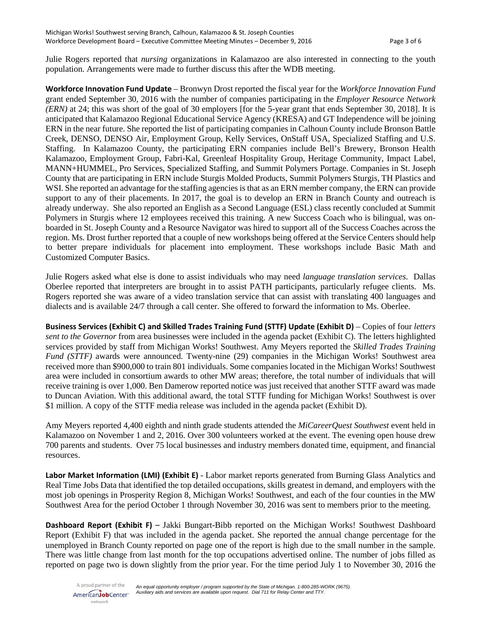Julie Rogers reported that *nursing* organizations in Kalamazoo are also interested in connecting to the youth population. Arrangements were made to further discuss this after the WDB meeting.

**Workforce Innovation Fund Update** – Bronwyn Drost reported the fiscal year for the *Workforce Innovation Fund* grant ended September 30, 2016 with the number of companies participating in the *Employer Resource Network (ERN)* at 24; this was short of the goal of 30 employers [for the 5-year grant that ends September 30, 2018]. It is anticipated that Kalamazoo Regional Educational Service Agency (KRESA) and GT Independence will be joining ERN in the near future. She reported the list of participating companies in Calhoun County include Bronson Battle Creek, DENSO, DENSO Air, Employment Group, Kelly Services, OnStaff USA, Specialized Staffing and U.S. Staffing. In Kalamazoo County, the participating ERN companies include Bell's Brewery, Bronson Health Kalamazoo, Employment Group, Fabri-Kal, Greenleaf Hospitality Group, Heritage Community, Impact Label, MANN+HUMMEL, Pro Services, Specialized Staffing, and Summit Polymers Portage. Companies in St. Joseph County that are participating in ERN include Sturgis Molded Products, Summit Polymers Sturgis, TH Plastics and WSI. She reported an advantage for the staffing agencies is that as an ERN member company, the ERN can provide support to any of their placements. In 2017, the goal is to develop an ERN in Branch County and outreach is already underway. She also reported an English as a Second Language (ESL) class recently concluded at Summit Polymers in Sturgis where 12 employees received this training. A new Success Coach who is bilingual, was onboarded in St. Joseph County and a Resource Navigator was hired to support all of the Success Coaches across the region. Ms. Drost further reported that a couple of new workshops being offered at the Service Centers should help to better prepare individuals for placement into employment. These workshops include Basic Math and Customized Computer Basics.

Julie Rogers asked what else is done to assist individuals who may need *language translation services*. Dallas Oberlee reported that interpreters are brought in to assist PATH participants, particularly refugee clients. Ms. Rogers reported she was aware of a video translation service that can assist with translating 400 languages and dialects and is available 24/7 through a call center. She offered to forward the information to Ms. Oberlee.

**Business Services (Exhibit C) and Skilled Trades Training Fund (STTF) Update (Exhibit D)** – Copies of four *letters sent to the Governor* from area businesses were included in the agenda packet (Exhibit C). The letters highlighted services provided by staff from Michigan Works! Southwest. Amy Meyers reported the *Skilled Trades Training Fund (STTF)* awards were announced. Twenty-nine (29) companies in the Michigan Works! Southwest area received more than \$900,000 to train 801 individuals. Some companies located in the Michigan Works! Southwest area were included in consortium awards to other MW areas; therefore, the total number of individuals that will receive training is over 1,000. Ben Damerow reported notice was just received that another STTF award was made to Duncan Aviation. With this additional award, the total STTF funding for Michigan Works! Southwest is over \$1 million. A copy of the STTF media release was included in the agenda packet (Exhibit D).

Amy Meyers reported 4,400 eighth and ninth grade students attended the *MiCareerQuest Southwest* event held in Kalamazoo on November 1 and 2, 2016. Over 300 volunteers worked at the event. The evening open house drew 700 parents and students. Over 75 local businesses and industry members donated time, equipment, and financial resources.

**Labor Market Information (LMI) (Exhibit E)** - Labor market reports generated from Burning Glass Analytics and Real Time Jobs Data that identified the top detailed occupations, skills greatest in demand, and employers with the most job openings in Prosperity Region 8, Michigan Works! Southwest, and each of the four counties in the MW Southwest Area for the period October 1 through November 30, 2016 was sent to members prior to the meeting.

**Dashboard Report (Exhibit F)** – Jakki Bungart-Bibb reported on the Michigan Works! Southwest Dashboard Report (Exhibit F) that was included in the agenda packet. She reported the annual change percentage for the unemployed in Branch County reported on page one of the report is high due to the small number in the sample. There was little change from last month for the top occupations advertised online. The number of jobs filled as reported on page two is down slightly from the prior year. For the time period July 1 to November 30, 2016 the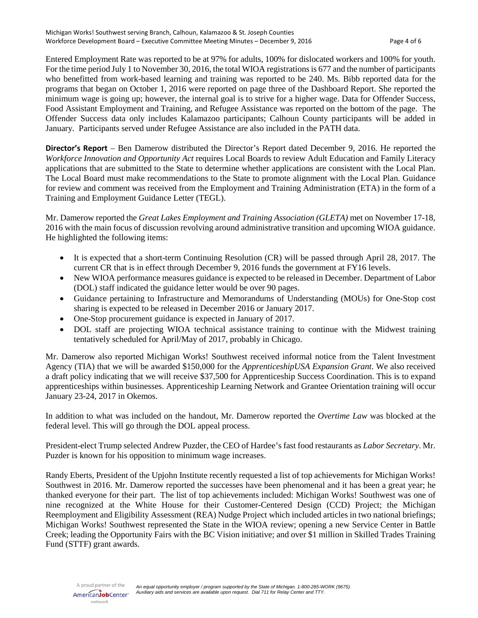Entered Employment Rate was reported to be at 97% for adults, 100% for dislocated workers and 100% for youth. For the time period July 1 to November 30, 2016, the total WIOA registrations is 677 and the number of participants who benefitted from work-based learning and training was reported to be 240. Ms. Bibb reported data for the programs that began on October 1, 2016 were reported on page three of the Dashboard Report. She reported the minimum wage is going up; however, the internal goal is to strive for a higher wage. Data for Offender Success, Food Assistant Employment and Training, and Refugee Assistance was reported on the bottom of the page. The Offender Success data only includes Kalamazoo participants; Calhoun County participants will be added in January. Participants served under Refugee Assistance are also included in the PATH data.

**Director's Report** – Ben Damerow distributed the Director's Report dated December 9, 2016. He reported the *Workforce Innovation and Opportunity Act* requires Local Boards to review Adult Education and Family Literacy applications that are submitted to the State to determine whether applications are consistent with the Local Plan. The Local Board must make recommendations to the State to promote alignment with the Local Plan. Guidance for review and comment was received from the Employment and Training Administration (ETA) in the form of a Training and Employment Guidance Letter (TEGL).

Mr. Damerow reported the *Great Lakes Employment and Training Association (GLETA)* met on November 17-18, 2016 with the main focus of discussion revolving around administrative transition and upcoming WIOA guidance. He highlighted the following items:

- It is expected that a short-term Continuing Resolution (CR) will be passed through April 28, 2017. The current CR that is in effect through December 9, 2016 funds the government at FY16 levels.
- New WIOA performance measures guidance is expected to be released in December. Department of Labor (DOL) staff indicated the guidance letter would be over 90 pages.
- Guidance pertaining to Infrastructure and Memorandums of Understanding (MOUs) for One-Stop cost sharing is expected to be released in December 2016 or January 2017.
- One-Stop procurement guidance is expected in January of 2017.
- DOL staff are projecting WIOA technical assistance training to continue with the Midwest training tentatively scheduled for April/May of 2017, probably in Chicago.

Mr. Damerow also reported Michigan Works! Southwest received informal notice from the Talent Investment Agency (TIA) that we will be awarded \$150,000 for the *ApprenticeshipUSA Expansion Grant*. We also received a draft policy indicating that we will receive \$37,500 for Apprenticeship Success Coordination. This is to expand apprenticeships within businesses. Apprenticeship Learning Network and Grantee Orientation training will occur January 23-24, 2017 in Okemos.

In addition to what was included on the handout, Mr. Damerow reported the *Overtime Law* was blocked at the federal level. This will go through the DOL appeal process.

President-elect Trump selected Andrew Puzder, the CEO of Hardee's fast food restaurants as *Labor Secretary*. Mr. Puzder is known for his opposition to minimum wage increases.

Randy Eberts, President of the Upjohn Institute recently requested a list of top achievements for Michigan Works! Southwest in 2016. Mr. Damerow reported the successes have been phenomenal and it has been a great year; he thanked everyone for their part. The list of top achievements included: Michigan Works! Southwest was one of nine recognized at the White House for their Customer-Centered Design (CCD) Project; the Michigan Reemployment and Eligibility Assessment (REA) Nudge Project which included articles in two national briefings; Michigan Works! Southwest represented the State in the WIOA review; opening a new Service Center in Battle Creek; leading the Opportunity Fairs with the BC Vision initiative; and over \$1 million in Skilled Trades Training Fund (STTF) grant awards.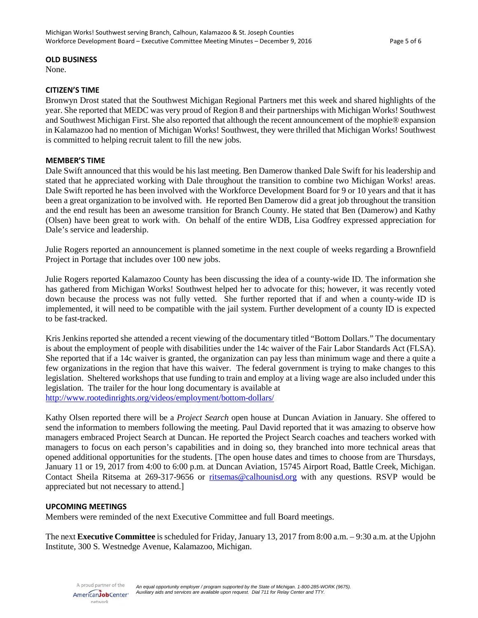#### **OLD BUSINESS**

None.

#### **CITIZEN'S TIME**

Bronwyn Drost stated that the Southwest Michigan Regional Partners met this week and shared highlights of the year. She reported that MEDC was very proud of Region 8 and their partnerships with Michigan Works! Southwest and Southwest Michigan First. She also reported that although the recent announcement of the mophie® expansion in Kalamazoo had no mention of Michigan Works! Southwest, they were thrilled that Michigan Works! Southwest is committed to helping recruit talent to fill the new jobs.

### **MEMBER'S TIME**

Dale Swift announced that this would be his last meeting. Ben Damerow thanked Dale Swift for his leadership and stated that he appreciated working with Dale throughout the transition to combine two Michigan Works! areas. Dale Swift reported he has been involved with the Workforce Development Board for 9 or 10 years and that it has been a great organization to be involved with. He reported Ben Damerow did a great job throughout the transition and the end result has been an awesome transition for Branch County. He stated that Ben (Damerow) and Kathy (Olsen) have been great to work with. On behalf of the entire WDB, Lisa Godfrey expressed appreciation for Dale's service and leadership.

Julie Rogers reported an announcement is planned sometime in the next couple of weeks regarding a Brownfield Project in Portage that includes over 100 new jobs.

Julie Rogers reported Kalamazoo County has been discussing the idea of a county-wide ID. The information she has gathered from Michigan Works! Southwest helped her to advocate for this; however, it was recently voted down because the process was not fully vetted. She further reported that if and when a county-wide ID is implemented, it will need to be compatible with the jail system. Further development of a county ID is expected to be fast-tracked.

Kris Jenkins reported she attended a recent viewing of the documentary titled "Bottom Dollars." The documentary is about the employment of people with disabilities under the 14c waiver of the Fair Labor Standards Act (FLSA). She reported that if a 14c waiver is granted, the organization can pay less than minimum wage and there a quite a few organizations in the region that have this waiver. The federal government is trying to make changes to this legislation. Sheltered workshops that use funding to train and employ at a living wage are also included under this legislation. The trailer for the hour long documentary is available at <http://www.rootedinrights.org/videos/employment/bottom-dollars/>

Kathy Olsen reported there will be a *Project Search* open house at Duncan Aviation in January. She offered to send the information to members following the meeting. Paul David reported that it was amazing to observe how managers embraced Project Search at Duncan. He reported the Project Search coaches and teachers worked with managers to focus on each person's capabilities and in doing so, they branched into more technical areas that opened additional opportunities for the students. [The open house dates and times to choose from are Thursdays, January 11 or 19, 2017 from 4:00 to 6:00 p.m. at Duncan Aviation, 15745 Airport Road, Battle Creek, Michigan. Contact Sheila Ritsema at 269-317-9656 or [ritsemas@calhounisd.org](mailto:ritsemas@calhounisd.org) with any questions. RSVP would be appreciated but not necessary to attend.]

#### **UPCOMING MEETINGS**

Members were reminded of the next Executive Committee and full Board meetings.

The next **Executive Committee** is scheduled for Friday, January 13, 2017 from 8:00 a.m. – 9:30 a.m. at the Upjohn Institute, 300 S. Westnedge Avenue, Kalamazoo, Michigan.